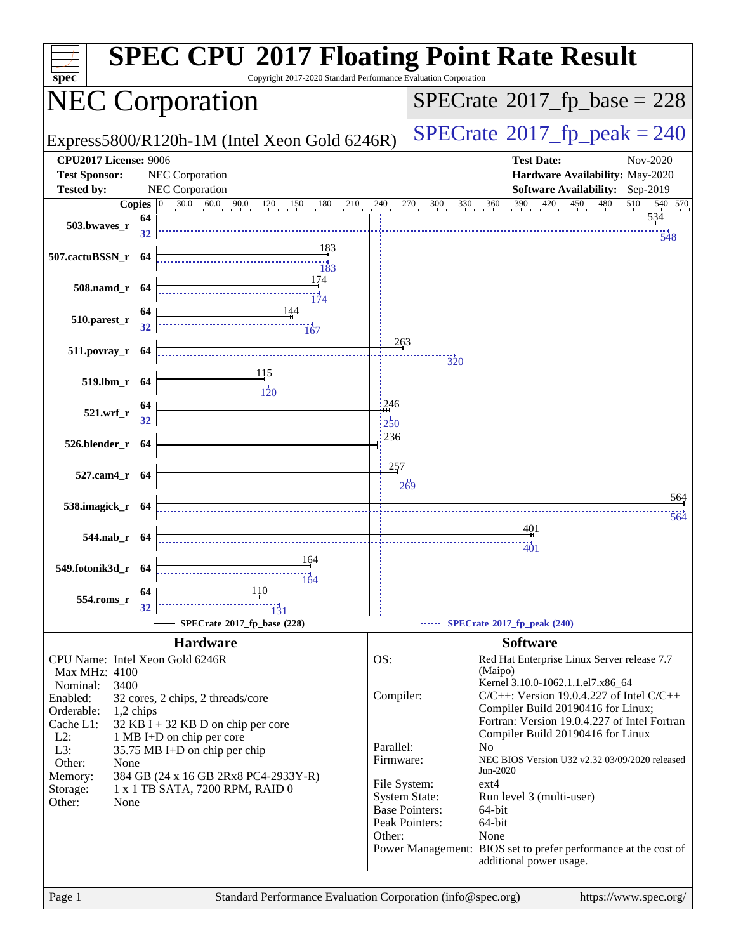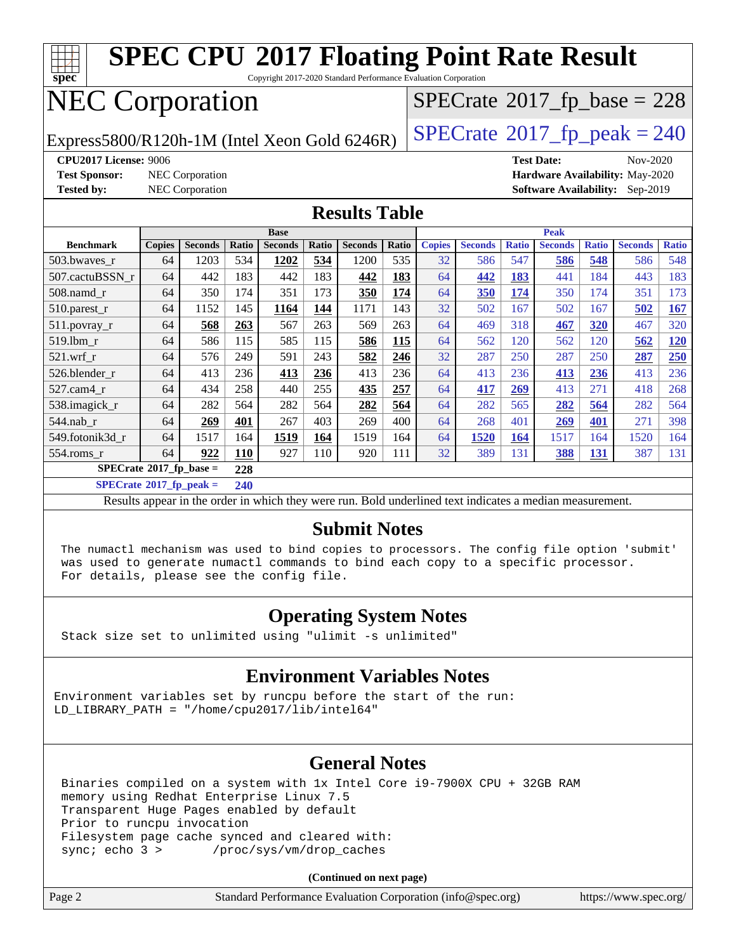

Results appear in the [order in which they were run](http://www.spec.org/auto/cpu2017/Docs/result-fields.html#RunOrder). Bold underlined text [indicates a median measurement](http://www.spec.org/auto/cpu2017/Docs/result-fields.html#Median).

#### **[Submit Notes](http://www.spec.org/auto/cpu2017/Docs/result-fields.html#SubmitNotes)**

 The numactl mechanism was used to bind copies to processors. The config file option 'submit' was used to generate numactl commands to bind each copy to a specific processor. For details, please see the config file.

#### **[Operating System Notes](http://www.spec.org/auto/cpu2017/Docs/result-fields.html#OperatingSystemNotes)**

Stack size set to unlimited using "ulimit -s unlimited"

#### **[Environment Variables Notes](http://www.spec.org/auto/cpu2017/Docs/result-fields.html#EnvironmentVariablesNotes)**

Environment variables set by runcpu before the start of the run: LD LIBRARY PATH = "/home/cpu2017/lib/intel64"

#### **[General Notes](http://www.spec.org/auto/cpu2017/Docs/result-fields.html#GeneralNotes)**

 Binaries compiled on a system with 1x Intel Core i9-7900X CPU + 32GB RAM memory using Redhat Enterprise Linux 7.5 Transparent Huge Pages enabled by default Prior to runcpu invocation Filesystem page cache synced and cleared with: sync; echo 3 > /proc/sys/vm/drop\_caches

**(Continued on next page)**

| Page 2<br>Standard Performance Evaluation Corporation (info@spec.org) | https://www.spec.org/ |
|-----------------------------------------------------------------------|-----------------------|
|-----------------------------------------------------------------------|-----------------------|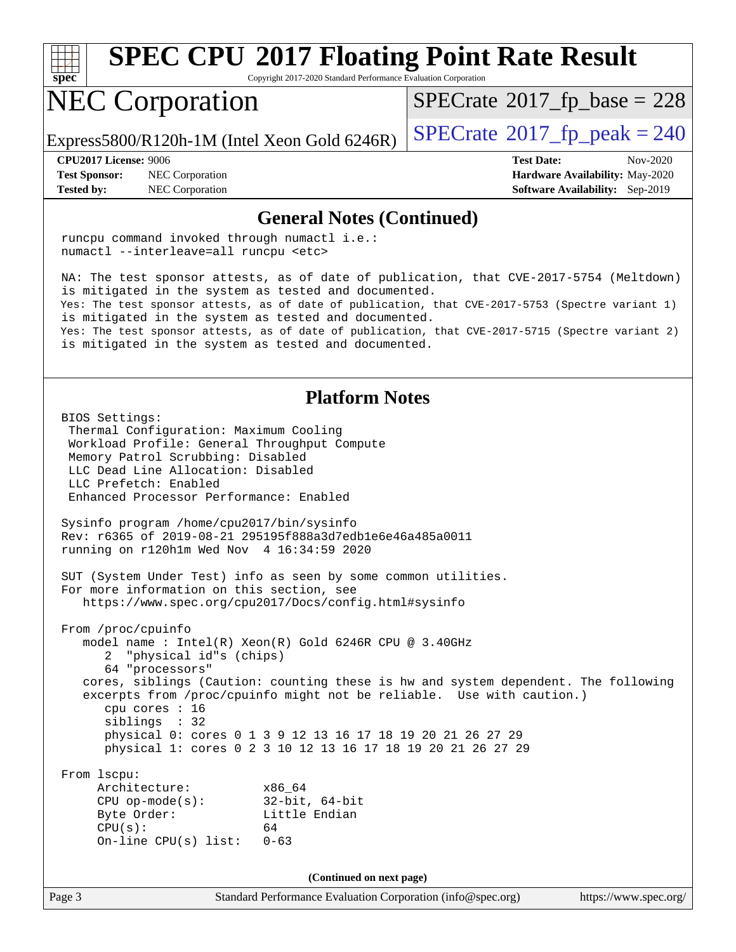

Copyright 2017-2020 Standard Performance Evaluation Corporation

# NEC Corporation

 $SPECTate$ <sup>®</sup>[2017\\_fp\\_base =](http://www.spec.org/auto/cpu2017/Docs/result-fields.html#SPECrate2017fpbase) 228

Express5800/R120h-1M (Intel Xeon Gold 6246R)  $\left|$  [SPECrate](http://www.spec.org/auto/cpu2017/Docs/result-fields.html#SPECrate2017fppeak)<sup>®</sup>[2017\\_fp\\_peak = 2](http://www.spec.org/auto/cpu2017/Docs/result-fields.html#SPECrate2017fppeak)40

**[Test Sponsor:](http://www.spec.org/auto/cpu2017/Docs/result-fields.html#TestSponsor)** NEC Corporation **[Hardware Availability:](http://www.spec.org/auto/cpu2017/Docs/result-fields.html#HardwareAvailability)** May-2020 **[Tested by:](http://www.spec.org/auto/cpu2017/Docs/result-fields.html#Testedby)** NEC Corporation **[Software Availability:](http://www.spec.org/auto/cpu2017/Docs/result-fields.html#SoftwareAvailability)** Sep-2019

**[CPU2017 License:](http://www.spec.org/auto/cpu2017/Docs/result-fields.html#CPU2017License)** 9006 **[Test Date:](http://www.spec.org/auto/cpu2017/Docs/result-fields.html#TestDate)** Nov-2020

#### **[General Notes \(Continued\)](http://www.spec.org/auto/cpu2017/Docs/result-fields.html#GeneralNotes)**

Page 3 Standard Performance Evaluation Corporation [\(info@spec.org\)](mailto:info@spec.org) <https://www.spec.org/> runcpu command invoked through numactl i.e.: numactl --interleave=all runcpu <etc> NA: The test sponsor attests, as of date of publication, that CVE-2017-5754 (Meltdown) is mitigated in the system as tested and documented. Yes: The test sponsor attests, as of date of publication, that CVE-2017-5753 (Spectre variant 1) is mitigated in the system as tested and documented. Yes: The test sponsor attests, as of date of publication, that CVE-2017-5715 (Spectre variant 2) is mitigated in the system as tested and documented. **[Platform Notes](http://www.spec.org/auto/cpu2017/Docs/result-fields.html#PlatformNotes)** BIOS Settings: Thermal Configuration: Maximum Cooling Workload Profile: General Throughput Compute Memory Patrol Scrubbing: Disabled LLC Dead Line Allocation: Disabled LLC Prefetch: Enabled Enhanced Processor Performance: Enabled Sysinfo program /home/cpu2017/bin/sysinfo Rev: r6365 of 2019-08-21 295195f888a3d7edb1e6e46a485a0011 running on r120h1m Wed Nov 4 16:34:59 2020 SUT (System Under Test) info as seen by some common utilities. For more information on this section, see <https://www.spec.org/cpu2017/Docs/config.html#sysinfo> From /proc/cpuinfo model name : Intel(R) Xeon(R) Gold 6246R CPU @ 3.40GHz 2 "physical id"s (chips) 64 "processors" cores, siblings (Caution: counting these is hw and system dependent. The following excerpts from /proc/cpuinfo might not be reliable. Use with caution.) cpu cores : 16 siblings : 32 physical 0: cores 0 1 3 9 12 13 16 17 18 19 20 21 26 27 29 physical 1: cores 0 2 3 10 12 13 16 17 18 19 20 21 26 27 29 From lscpu: Architecture: x86\_64 CPU op-mode(s): 32-bit, 64-bit Byte Order: Little Endian  $CPU(s):$  64 On-line CPU(s) list: 0-63 **(Continued on next page)**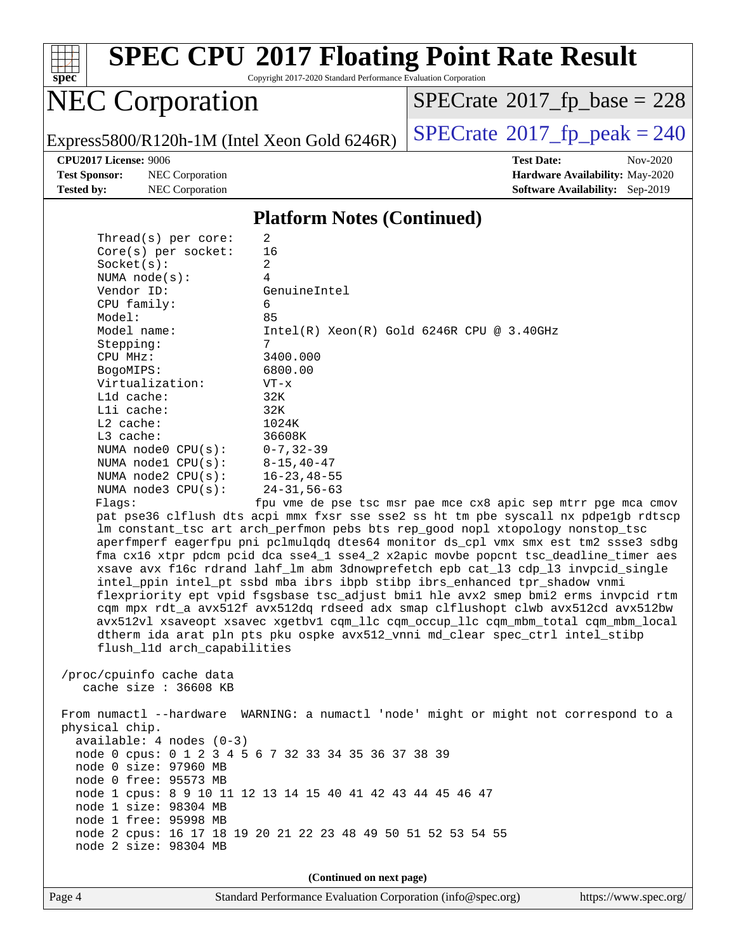

Copyright 2017-2020 Standard Performance Evaluation Corporation

# NEC Corporation

 $SPECrate$ <sup>®</sup>[2017\\_fp\\_base =](http://www.spec.org/auto/cpu2017/Docs/result-fields.html#SPECrate2017fpbase) 228

Express5800/R120h-1M (Intel Xeon Gold 6246R)  $\left|$  [SPECrate](http://www.spec.org/auto/cpu2017/Docs/result-fields.html#SPECrate2017fppeak)®[2017\\_fp\\_peak = 2](http://www.spec.org/auto/cpu2017/Docs/result-fields.html#SPECrate2017fppeak)40

**[Test Sponsor:](http://www.spec.org/auto/cpu2017/Docs/result-fields.html#TestSponsor)** NEC Corporation **[Hardware Availability:](http://www.spec.org/auto/cpu2017/Docs/result-fields.html#HardwareAvailability)** May-2020 **[Tested by:](http://www.spec.org/auto/cpu2017/Docs/result-fields.html#Testedby)** NEC Corporation **[Software Availability:](http://www.spec.org/auto/cpu2017/Docs/result-fields.html#SoftwareAvailability)** Sep-2019

**[CPU2017 License:](http://www.spec.org/auto/cpu2017/Docs/result-fields.html#CPU2017License)** 9006 **[Test Date:](http://www.spec.org/auto/cpu2017/Docs/result-fields.html#TestDate)** Nov-2020

#### **[Platform Notes \(Continued\)](http://www.spec.org/auto/cpu2017/Docs/result-fields.html#PlatformNotes)**

| Thread( $s$ ) per core:      | 2                                                                                    |
|------------------------------|--------------------------------------------------------------------------------------|
| Core(s) per socket:          | 16                                                                                   |
| Socket(s):                   | 2                                                                                    |
| NUMA $node(s):$              | 4                                                                                    |
| Vendor ID:                   | GenuineIntel                                                                         |
| CPU family:                  | 6                                                                                    |
| Model:                       | 85                                                                                   |
| Model name:                  | $Intel(R) Xeon(R) Gold 6246R CPU @ 3.40GHz$                                          |
| Stepping:                    | 7                                                                                    |
| CPU MHz:                     | 3400.000<br>6800.00                                                                  |
| BogoMIPS:<br>Virtualization: | $VT - x$                                                                             |
| $L1d$ cache:                 | 32K                                                                                  |
| Lli cache:                   | 32K                                                                                  |
| $L2$ cache:                  | 1024K                                                                                |
| $L3$ cache:                  | 36608K                                                                               |
| NUMA $node0$ $CPU(s)$ :      | $0 - 7, 32 - 39$                                                                     |
| NUMA nodel $CPU(s):$         | $8 - 15, 40 - 47$                                                                    |
| NUMA $node2$ $CPU(s)$ :      | $16 - 23, 48 - 55$                                                                   |
| NUMA node3 CPU(s):           | $24 - 31, 56 - 63$                                                                   |
| Flags:                       | fpu vme de pse tsc msr pae mce cx8 apic sep mtrr pge mca cmov                        |
|                              | pat pse36 clflush dts acpi mmx fxsr sse sse2 ss ht tm pbe syscall nx pdpelgb rdtscp  |
|                              | lm constant_tsc art arch_perfmon pebs bts rep_good nopl xtopology nonstop_tsc        |
|                              | aperfmperf eagerfpu pni pclmulqdq dtes64 monitor ds_cpl vmx smx est tm2 ssse3 sdbg   |
|                              | fma cx16 xtpr pdcm pcid dca sse4_1 sse4_2 x2apic movbe popcnt tsc_deadline_timer aes |
|                              | xsave avx f16c rdrand lahf_lm abm 3dnowprefetch epb cat_13 cdp_13 invpcid_single     |
|                              | intel_ppin intel_pt ssbd mba ibrs ibpb stibp ibrs_enhanced tpr_shadow vnmi           |
|                              | flexpriority ept vpid fsgsbase tsc_adjust bmil hle avx2 smep bmi2 erms invpcid rtm   |
|                              | cqm mpx rdt_a avx512f avx512dq rdseed adx smap clflushopt clwb avx512cd avx512bw     |
|                              | avx512vl xsaveopt xsavec xgetbvl cqm_llc cqm_occup_llc cqm_mbm_total cqm_mbm_local   |
|                              | dtherm ida arat pln pts pku ospke avx512_vnni md_clear spec_ctrl intel_stibp         |
| flush_l1d arch_capabilities  |                                                                                      |
|                              |                                                                                      |
| /proc/cpuinfo cache data     |                                                                                      |
| cache size : 36608 KB        |                                                                                      |
|                              | From numactl --hardware WARNING: a numactl 'node' might or might not correspond to a |
| physical chip.               |                                                                                      |
| $available: 4 nodes (0-3)$   |                                                                                      |
|                              | node 0 cpus: 0 1 2 3 4 5 6 7 32 33 34 35 36 37 38 39                                 |
| node 0 size: 97960 MB        |                                                                                      |
| node 0 free: 95573 MB        |                                                                                      |
|                              | node 1 cpus: 8 9 10 11 12 13 14 15 40 41 42 43 44 45 46 47                           |
| node 1 size: 98304 MB        |                                                                                      |
| node 1 free: 95998 MB        |                                                                                      |
|                              | node 2 cpus: 16 17 18 19 20 21 22 23 48 49 50 51 52 53 54 55                         |
| node 2 size: 98304 MB        |                                                                                      |
|                              |                                                                                      |
|                              | (Continued on next page)                                                             |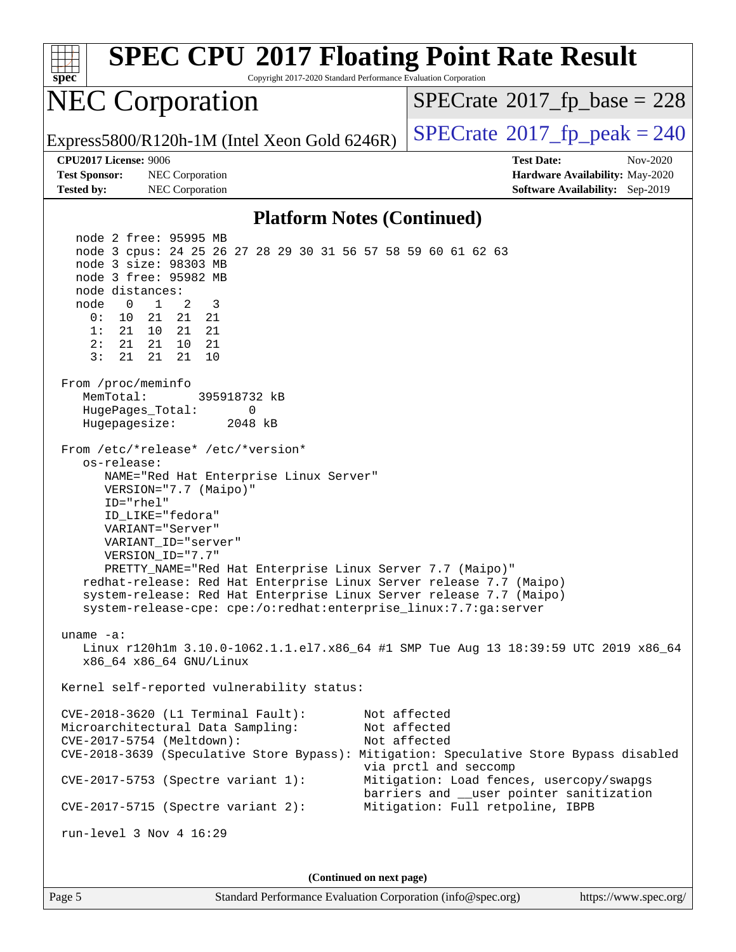| <b>SPEC CPU®2017 Floating Point Rate Result</b><br>Copyright 2017-2020 Standard Performance Evaluation Corporation<br>$Spec^*$                                                                                                                                                                                                                                                                                                                                                                                                                                                                                                                                                                                                                                                                                                                                                                                                                                                                                                                                                                                                                                                                                                                                                                                                                                                                                                                                     |                                                                                                                                                                                                   |
|--------------------------------------------------------------------------------------------------------------------------------------------------------------------------------------------------------------------------------------------------------------------------------------------------------------------------------------------------------------------------------------------------------------------------------------------------------------------------------------------------------------------------------------------------------------------------------------------------------------------------------------------------------------------------------------------------------------------------------------------------------------------------------------------------------------------------------------------------------------------------------------------------------------------------------------------------------------------------------------------------------------------------------------------------------------------------------------------------------------------------------------------------------------------------------------------------------------------------------------------------------------------------------------------------------------------------------------------------------------------------------------------------------------------------------------------------------------------|---------------------------------------------------------------------------------------------------------------------------------------------------------------------------------------------------|
| <b>NEC Corporation</b>                                                                                                                                                                                                                                                                                                                                                                                                                                                                                                                                                                                                                                                                                                                                                                                                                                                                                                                                                                                                                                                                                                                                                                                                                                                                                                                                                                                                                                             | $SPECrate^{\circ}2017$ fp base = 228                                                                                                                                                              |
| Express5800/R120h-1M (Intel Xeon Gold 6246R)                                                                                                                                                                                                                                                                                                                                                                                                                                                                                                                                                                                                                                                                                                                                                                                                                                                                                                                                                                                                                                                                                                                                                                                                                                                                                                                                                                                                                       | $SPECrate^{\circledcirc}2017_fp\_peak = 240$                                                                                                                                                      |
| <b>CPU2017 License: 9006</b>                                                                                                                                                                                                                                                                                                                                                                                                                                                                                                                                                                                                                                                                                                                                                                                                                                                                                                                                                                                                                                                                                                                                                                                                                                                                                                                                                                                                                                       | <b>Test Date:</b><br>Nov-2020                                                                                                                                                                     |
| <b>Test Sponsor:</b><br>NEC Corporation<br><b>Tested by:</b><br>NEC Corporation                                                                                                                                                                                                                                                                                                                                                                                                                                                                                                                                                                                                                                                                                                                                                                                                                                                                                                                                                                                                                                                                                                                                                                                                                                                                                                                                                                                    | Hardware Availability: May-2020<br>Software Availability: Sep-2019                                                                                                                                |
| <b>Platform Notes (Continued)</b>                                                                                                                                                                                                                                                                                                                                                                                                                                                                                                                                                                                                                                                                                                                                                                                                                                                                                                                                                                                                                                                                                                                                                                                                                                                                                                                                                                                                                                  |                                                                                                                                                                                                   |
| node 2 free: 95995 MB<br>node 3 cpus: 24 25 26 27 28 29 30 31 56 57 58 59 60 61 62 63<br>node 3 size: 98303 MB<br>node 3 free: 95982 MB<br>node distances:<br>2<br>3<br>node<br>$\mathbf{0}$<br>$\mathbf{1}$<br>0 :<br>10 <sub>1</sub><br>21<br>21<br>21<br>1:<br>21 10<br>21<br>21<br>2:<br>21<br>21<br>10<br>21<br>3:<br>21<br>10<br>21<br>21<br>From /proc/meminfo<br>MemTotal:<br>395918732 kB<br>HugePages_Total:<br>0<br>Hugepagesize:<br>2048 kB<br>From /etc/*release* /etc/*version*<br>os-release:<br>NAME="Red Hat Enterprise Linux Server"<br>VERSION="7.7 (Maipo)"<br>ID="rhel"<br>ID LIKE="fedora"<br>VARIANT="Server"<br>VARIANT ID="server"<br>VERSION_ID="7.7"<br>PRETTY_NAME="Red Hat Enterprise Linux Server 7.7 (Maipo)"<br>redhat-release: Red Hat Enterprise Linux Server release 7.7 (Maipo)<br>system-release: Red Hat Enterprise Linux Server release 7.7 (Maipo)<br>system-release-cpe: cpe:/o:redhat:enterprise_linux:7.7:ga:server<br>uname $-a$ :<br>Linux r120hlm 3.10.0-1062.1.1.el7.x86_64 #1 SMP Tue Aug 13 18:39:59 UTC 2019 x86_64<br>x86_64 x86_64 GNU/Linux<br>Kernel self-reported vulnerability status:<br>$CVE-2018-3620$ (L1 Terminal Fault):<br>Microarchitectural Data Sampling:<br>CVE-2017-5754 (Meltdown):<br>CVE-2018-3639 (Speculative Store Bypass): Mitigation: Speculative Store Bypass disabled<br>$CVE-2017-5753$ (Spectre variant 1):<br>$CVE-2017-5715$ (Spectre variant 2):<br>run-level $3$ Nov $4$ 16:29 | Not affected<br>Not affected<br>Not affected<br>via prctl and seccomp<br>Mitigation: Load fences, usercopy/swapgs<br>barriers and __user pointer sanitization<br>Mitigation: Full retpoline, IBPB |
| (Continued on next page)                                                                                                                                                                                                                                                                                                                                                                                                                                                                                                                                                                                                                                                                                                                                                                                                                                                                                                                                                                                                                                                                                                                                                                                                                                                                                                                                                                                                                                           |                                                                                                                                                                                                   |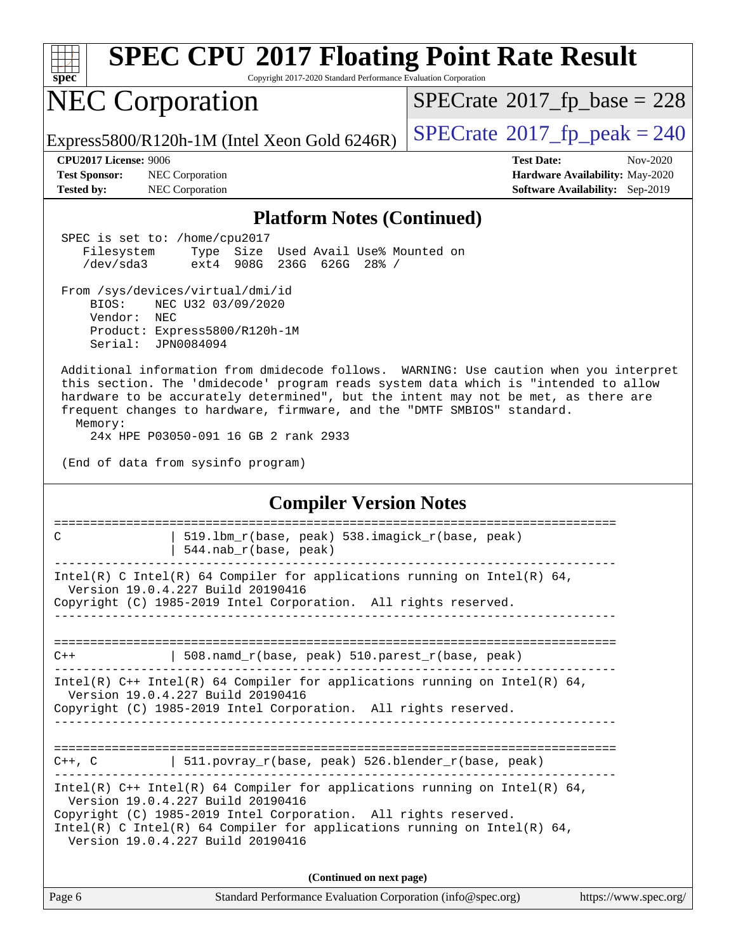| <b>SPEC CPU®2017 Floating Point Rate Result</b><br>spec <sup>®</sup><br>Copyright 2017-2020 Standard Performance Evaluation Corporation                                                                                                                                                                                                                                                           |                                                                                                            |  |
|---------------------------------------------------------------------------------------------------------------------------------------------------------------------------------------------------------------------------------------------------------------------------------------------------------------------------------------------------------------------------------------------------|------------------------------------------------------------------------------------------------------------|--|
| <b>NEC Corporation</b>                                                                                                                                                                                                                                                                                                                                                                            | $SPECTate$ <sup>®</sup> 2017_fp_base = 228                                                                 |  |
| Express5800/R120h-1M (Intel Xeon Gold 6246R)                                                                                                                                                                                                                                                                                                                                                      | $SPECTate@2017_fp\_peak = 240$                                                                             |  |
| CPU2017 License: 9006<br><b>Test Sponsor:</b><br>NEC Corporation<br><b>Tested by:</b><br>NEC Corporation                                                                                                                                                                                                                                                                                          | <b>Test Date:</b><br>Nov-2020<br>Hardware Availability: May-2020<br><b>Software Availability:</b> Sep-2019 |  |
| <b>Platform Notes (Continued)</b>                                                                                                                                                                                                                                                                                                                                                                 |                                                                                                            |  |
| SPEC is set to: /home/cpu2017<br>Size Used Avail Use% Mounted on<br>Filesystem<br>Type<br>236G 626G 28% /<br>$/\text{dev/sda}$ 3<br>$ext{4}$<br>908G                                                                                                                                                                                                                                              |                                                                                                            |  |
| From /sys/devices/virtual/dmi/id<br>BIOS:<br>NEC U32 03/09/2020<br>Vendor:<br>NEC<br>Product: Express5800/R120h-1M<br>Serial:<br>JPN0084094                                                                                                                                                                                                                                                       |                                                                                                            |  |
| Additional information from dmidecode follows. WARNING: Use caution when you interpret<br>this section. The 'dmidecode' program reads system data which is "intended to allow<br>hardware to be accurately determined", but the intent may not be met, as there are<br>frequent changes to hardware, firmware, and the "DMTF SMBIOS" standard.<br>Memory:<br>24x HPE P03050-091 16 GB 2 rank 2933 |                                                                                                            |  |
| (End of data from sysinfo program)                                                                                                                                                                                                                                                                                                                                                                |                                                                                                            |  |
| <b>Compiler Version Notes</b>                                                                                                                                                                                                                                                                                                                                                                     |                                                                                                            |  |
| $\mathsf{C}$<br>519.1bm_r(base, peak) 538.imagick_r(base, peak)<br>544.nab_r(base, peak)                                                                                                                                                                                                                                                                                                          | =====================                                                                                      |  |
| Intel(R) C Intel(R) 64 Compiler for applications running on Intel(R) 64,<br>Version 19.0.4.227 Build 20190416<br>Copyright (C) 1985-2019 Intel Corporation. All rights reserved.                                                                                                                                                                                                                  |                                                                                                            |  |
|                                                                                                                                                                                                                                                                                                                                                                                                   |                                                                                                            |  |
| 508.namd_r(base, peak) 510.parest_r(base, peak)<br>$C++$                                                                                                                                                                                                                                                                                                                                          |                                                                                                            |  |
| Intel(R) C++ Intel(R) 64 Compiler for applications running on Intel(R) 64,<br>Version 19.0.4.227 Build 20190416<br>Copyright (C) 1985-2019 Intel Corporation. All rights reserved.                                                                                                                                                                                                                |                                                                                                            |  |
| $C++$ , C   511.povray_r(base, peak) 526.blender_r(base, peak)                                                                                                                                                                                                                                                                                                                                    |                                                                                                            |  |
| Intel(R) $C++$ Intel(R) 64 Compiler for applications running on Intel(R) 64,<br>Version 19.0.4.227 Build 20190416<br>Copyright (C) 1985-2019 Intel Corporation. All rights reserved.<br>Intel(R) C Intel(R) 64 Compiler for applications running on Intel(R) 64,<br>Version 19.0.4.227 Build 20190416                                                                                             |                                                                                                            |  |
| (Continued on next page)                                                                                                                                                                                                                                                                                                                                                                          |                                                                                                            |  |
| Page 6<br>Standard Performance Evaluation Corporation (info@spec.org)                                                                                                                                                                                                                                                                                                                             | https://www.spec.org/                                                                                      |  |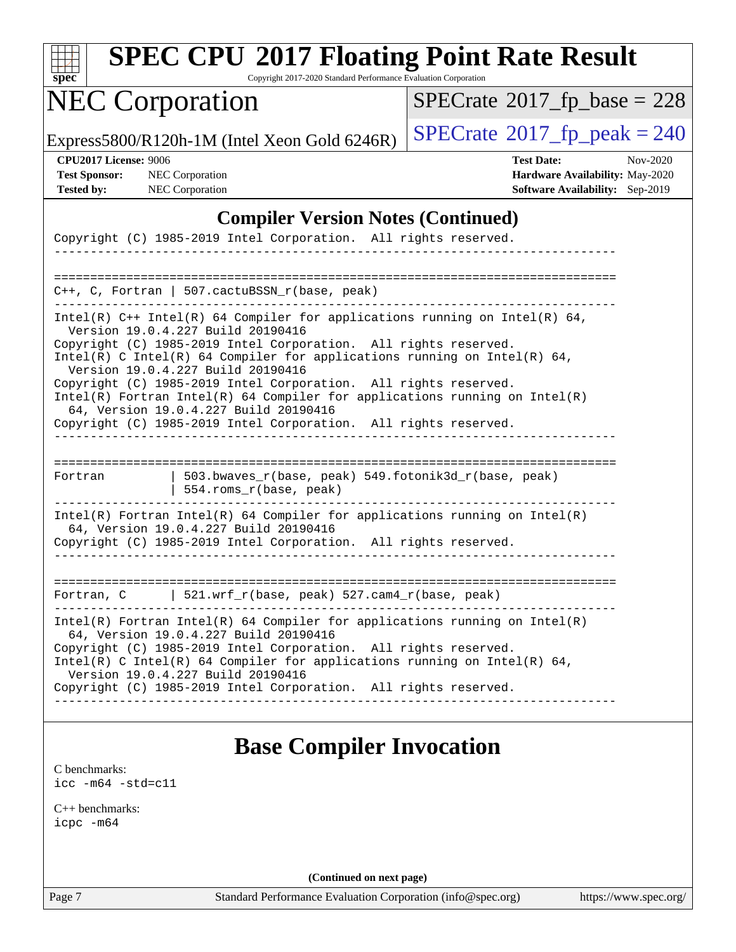| SI<br>pe<br>Ľ |  |  |  |  |  |
|---------------|--|--|--|--|--|

Copyright 2017-2020 Standard Performance Evaluation Corporation

# NEC Corporation

 $SPECrate$ <sup>®</sup>[2017\\_fp\\_base =](http://www.spec.org/auto/cpu2017/Docs/result-fields.html#SPECrate2017fpbase) 228

Express5800/R120h-1M (Intel Xeon Gold 6246R)  $\left|$  [SPECrate](http://www.spec.org/auto/cpu2017/Docs/result-fields.html#SPECrate2017fppeak)<sup>®</sup>[2017\\_fp\\_peak = 2](http://www.spec.org/auto/cpu2017/Docs/result-fields.html#SPECrate2017fppeak)40

**[CPU2017 License:](http://www.spec.org/auto/cpu2017/Docs/result-fields.html#CPU2017License)** 9006 **[Test Date:](http://www.spec.org/auto/cpu2017/Docs/result-fields.html#TestDate)** Nov-2020 **[Test Sponsor:](http://www.spec.org/auto/cpu2017/Docs/result-fields.html#TestSponsor)** NEC Corporation **[Hardware Availability:](http://www.spec.org/auto/cpu2017/Docs/result-fields.html#HardwareAvailability)** May-2020 **[Tested by:](http://www.spec.org/auto/cpu2017/Docs/result-fields.html#Testedby)** NEC Corporation **[Software Availability:](http://www.spec.org/auto/cpu2017/Docs/result-fields.html#SoftwareAvailability)** Sep-2019

#### **[Compiler Version Notes \(Continued\)](http://www.spec.org/auto/cpu2017/Docs/result-fields.html#CompilerVersionNotes)**

|                                                                                                                                                                                  | Copyright (C) 1985-2019 Intel Corporation. All rights reserved.                                          |                                                                              |  |
|----------------------------------------------------------------------------------------------------------------------------------------------------------------------------------|----------------------------------------------------------------------------------------------------------|------------------------------------------------------------------------------|--|
|                                                                                                                                                                                  |                                                                                                          |                                                                              |  |
|                                                                                                                                                                                  | $C_{++}$ , C, Fortran   507. cactuBSSN r(base, peak)                                                     |                                                                              |  |
| Intel(R) $C++$ Intel(R) 64 Compiler for applications running on Intel(R) 64,<br>Version 19.0.4.227 Build 20190416                                                                |                                                                                                          |                                                                              |  |
|                                                                                                                                                                                  | Copyright (C) 1985-2019 Intel Corporation. All rights reserved.<br>Version 19.0.4.227 Build 20190416     | Intel(R) C Intel(R) 64 Compiler for applications running on Intel(R) 64,     |  |
|                                                                                                                                                                                  | Copyright (C) 1985-2019 Intel Corporation. All rights reserved.<br>64, Version 19.0.4.227 Build 20190416 | $Intel(R)$ Fortran Intel(R) 64 Compiler for applications running on Intel(R) |  |
|                                                                                                                                                                                  | Copyright (C) 1985-2019 Intel Corporation. All rights reserved.                                          |                                                                              |  |
|                                                                                                                                                                                  |                                                                                                          |                                                                              |  |
| Fortran                                                                                                                                                                          | 554.roms_r(base, peak)                                                                                   | 503.bwaves $r(base, peak)$ 549.fotonik3d $r(base, peak)$                     |  |
|                                                                                                                                                                                  | 64, Version 19.0.4.227 Build 20190416                                                                    | Intel(R) Fortran Intel(R) 64 Compiler for applications running on Intel(R)   |  |
|                                                                                                                                                                                  | Copyright (C) 1985-2019 Intel Corporation. All rights reserved.                                          |                                                                              |  |
|                                                                                                                                                                                  |                                                                                                          |                                                                              |  |
|                                                                                                                                                                                  | Fortran, C $\qquad$ 521.wrf_r(base, peak) 527.cam4_r(base, peak)                                         |                                                                              |  |
|                                                                                                                                                                                  | 64, Version 19.0.4.227 Build 20190416                                                                    | $Intel(R)$ Fortran Intel(R) 64 Compiler for applications running on Intel(R) |  |
| Copyright (C) 1985-2019 Intel Corporation. All rights reserved.<br>Intel(R) C Intel(R) 64 Compiler for applications running on Intel(R) 64,<br>Version 19.0.4.227 Build 20190416 |                                                                                                          |                                                                              |  |
|                                                                                                                                                                                  | Copyright (C) 1985-2019 Intel Corporation. All rights reserved.                                          |                                                                              |  |
|                                                                                                                                                                                  |                                                                                                          |                                                                              |  |

### **[Base Compiler Invocation](http://www.spec.org/auto/cpu2017/Docs/result-fields.html#BaseCompilerInvocation)**

[C benchmarks](http://www.spec.org/auto/cpu2017/Docs/result-fields.html#Cbenchmarks): [icc -m64 -std=c11](http://www.spec.org/cpu2017/results/res2020q4/cpu2017-20201109-24347.flags.html#user_CCbase_intel_icc_64bit_c11_33ee0cdaae7deeeab2a9725423ba97205ce30f63b9926c2519791662299b76a0318f32ddfffdc46587804de3178b4f9328c46fa7c2b0cd779d7a61945c91cd35)

[C++ benchmarks:](http://www.spec.org/auto/cpu2017/Docs/result-fields.html#CXXbenchmarks) [icpc -m64](http://www.spec.org/cpu2017/results/res2020q4/cpu2017-20201109-24347.flags.html#user_CXXbase_intel_icpc_64bit_4ecb2543ae3f1412ef961e0650ca070fec7b7afdcd6ed48761b84423119d1bf6bdf5cad15b44d48e7256388bc77273b966e5eb805aefd121eb22e9299b2ec9d9)

**(Continued on next page)**

Page 7 Standard Performance Evaluation Corporation [\(info@spec.org\)](mailto:info@spec.org) <https://www.spec.org/>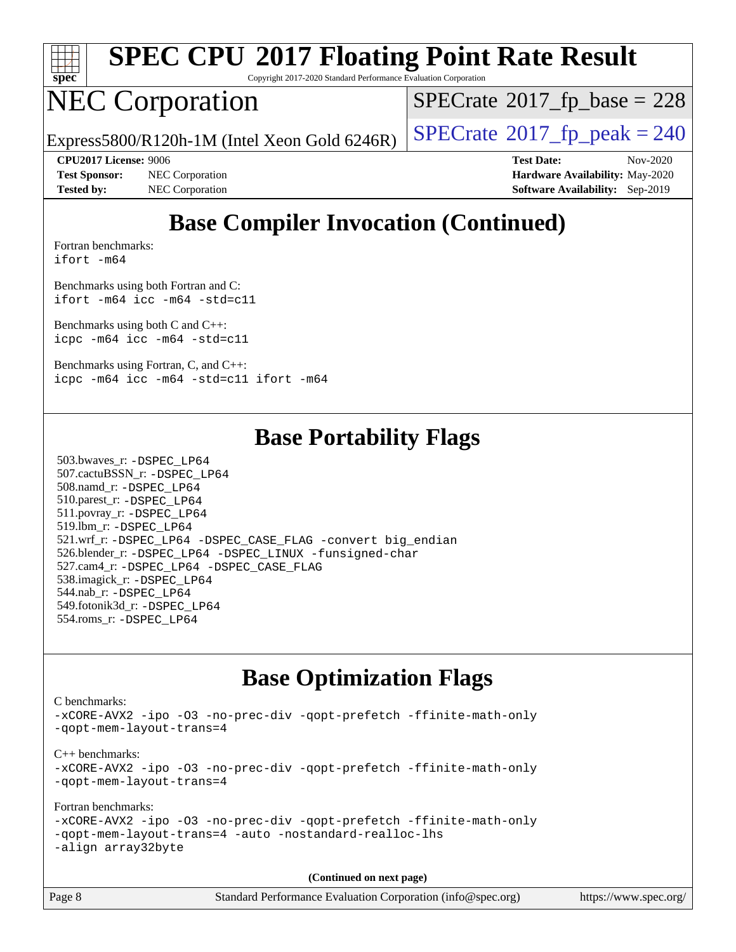

Copyright 2017-2020 Standard Performance Evaluation Corporation

## NEC Corporation

 $SPECTate$ <sup>®</sup>[2017\\_fp\\_base =](http://www.spec.org/auto/cpu2017/Docs/result-fields.html#SPECrate2017fpbase) 228

Express5800/R120h-1M (Intel Xeon Gold 6246R)  $\vert$  [SPECrate](http://www.spec.org/auto/cpu2017/Docs/result-fields.html#SPECrate2017fppeak)®[2017\\_fp\\_peak = 2](http://www.spec.org/auto/cpu2017/Docs/result-fields.html#SPECrate2017fppeak)40

**[Test Sponsor:](http://www.spec.org/auto/cpu2017/Docs/result-fields.html#TestSponsor)** NEC Corporation **[Hardware Availability:](http://www.spec.org/auto/cpu2017/Docs/result-fields.html#HardwareAvailability)** May-2020 **[Tested by:](http://www.spec.org/auto/cpu2017/Docs/result-fields.html#Testedby)** NEC Corporation **[Software Availability:](http://www.spec.org/auto/cpu2017/Docs/result-fields.html#SoftwareAvailability)** Sep-2019

**[CPU2017 License:](http://www.spec.org/auto/cpu2017/Docs/result-fields.html#CPU2017License)** 9006 **[Test Date:](http://www.spec.org/auto/cpu2017/Docs/result-fields.html#TestDate)** Nov-2020

## **[Base Compiler Invocation \(Continued\)](http://www.spec.org/auto/cpu2017/Docs/result-fields.html#BaseCompilerInvocation)**

[Fortran benchmarks](http://www.spec.org/auto/cpu2017/Docs/result-fields.html#Fortranbenchmarks): [ifort -m64](http://www.spec.org/cpu2017/results/res2020q4/cpu2017-20201109-24347.flags.html#user_FCbase_intel_ifort_64bit_24f2bb282fbaeffd6157abe4f878425411749daecae9a33200eee2bee2fe76f3b89351d69a8130dd5949958ce389cf37ff59a95e7a40d588e8d3a57e0c3fd751)

[Benchmarks using both Fortran and C](http://www.spec.org/auto/cpu2017/Docs/result-fields.html#BenchmarksusingbothFortranandC): [ifort -m64](http://www.spec.org/cpu2017/results/res2020q4/cpu2017-20201109-24347.flags.html#user_CC_FCbase_intel_ifort_64bit_24f2bb282fbaeffd6157abe4f878425411749daecae9a33200eee2bee2fe76f3b89351d69a8130dd5949958ce389cf37ff59a95e7a40d588e8d3a57e0c3fd751) [icc -m64 -std=c11](http://www.spec.org/cpu2017/results/res2020q4/cpu2017-20201109-24347.flags.html#user_CC_FCbase_intel_icc_64bit_c11_33ee0cdaae7deeeab2a9725423ba97205ce30f63b9926c2519791662299b76a0318f32ddfffdc46587804de3178b4f9328c46fa7c2b0cd779d7a61945c91cd35)

[Benchmarks using both C and C++](http://www.spec.org/auto/cpu2017/Docs/result-fields.html#BenchmarksusingbothCandCXX): [icpc -m64](http://www.spec.org/cpu2017/results/res2020q4/cpu2017-20201109-24347.flags.html#user_CC_CXXbase_intel_icpc_64bit_4ecb2543ae3f1412ef961e0650ca070fec7b7afdcd6ed48761b84423119d1bf6bdf5cad15b44d48e7256388bc77273b966e5eb805aefd121eb22e9299b2ec9d9) [icc -m64 -std=c11](http://www.spec.org/cpu2017/results/res2020q4/cpu2017-20201109-24347.flags.html#user_CC_CXXbase_intel_icc_64bit_c11_33ee0cdaae7deeeab2a9725423ba97205ce30f63b9926c2519791662299b76a0318f32ddfffdc46587804de3178b4f9328c46fa7c2b0cd779d7a61945c91cd35)

[Benchmarks using Fortran, C, and C++:](http://www.spec.org/auto/cpu2017/Docs/result-fields.html#BenchmarksusingFortranCandCXX) [icpc -m64](http://www.spec.org/cpu2017/results/res2020q4/cpu2017-20201109-24347.flags.html#user_CC_CXX_FCbase_intel_icpc_64bit_4ecb2543ae3f1412ef961e0650ca070fec7b7afdcd6ed48761b84423119d1bf6bdf5cad15b44d48e7256388bc77273b966e5eb805aefd121eb22e9299b2ec9d9) [icc -m64 -std=c11](http://www.spec.org/cpu2017/results/res2020q4/cpu2017-20201109-24347.flags.html#user_CC_CXX_FCbase_intel_icc_64bit_c11_33ee0cdaae7deeeab2a9725423ba97205ce30f63b9926c2519791662299b76a0318f32ddfffdc46587804de3178b4f9328c46fa7c2b0cd779d7a61945c91cd35) [ifort -m64](http://www.spec.org/cpu2017/results/res2020q4/cpu2017-20201109-24347.flags.html#user_CC_CXX_FCbase_intel_ifort_64bit_24f2bb282fbaeffd6157abe4f878425411749daecae9a33200eee2bee2fe76f3b89351d69a8130dd5949958ce389cf37ff59a95e7a40d588e8d3a57e0c3fd751)

### **[Base Portability Flags](http://www.spec.org/auto/cpu2017/Docs/result-fields.html#BasePortabilityFlags)**

 503.bwaves\_r: [-DSPEC\\_LP64](http://www.spec.org/cpu2017/results/res2020q4/cpu2017-20201109-24347.flags.html#suite_basePORTABILITY503_bwaves_r_DSPEC_LP64) 507.cactuBSSN\_r: [-DSPEC\\_LP64](http://www.spec.org/cpu2017/results/res2020q4/cpu2017-20201109-24347.flags.html#suite_basePORTABILITY507_cactuBSSN_r_DSPEC_LP64) 508.namd\_r: [-DSPEC\\_LP64](http://www.spec.org/cpu2017/results/res2020q4/cpu2017-20201109-24347.flags.html#suite_basePORTABILITY508_namd_r_DSPEC_LP64) 510.parest\_r: [-DSPEC\\_LP64](http://www.spec.org/cpu2017/results/res2020q4/cpu2017-20201109-24347.flags.html#suite_basePORTABILITY510_parest_r_DSPEC_LP64) 511.povray\_r: [-DSPEC\\_LP64](http://www.spec.org/cpu2017/results/res2020q4/cpu2017-20201109-24347.flags.html#suite_basePORTABILITY511_povray_r_DSPEC_LP64) 519.lbm\_r: [-DSPEC\\_LP64](http://www.spec.org/cpu2017/results/res2020q4/cpu2017-20201109-24347.flags.html#suite_basePORTABILITY519_lbm_r_DSPEC_LP64) 521.wrf\_r: [-DSPEC\\_LP64](http://www.spec.org/cpu2017/results/res2020q4/cpu2017-20201109-24347.flags.html#suite_basePORTABILITY521_wrf_r_DSPEC_LP64) [-DSPEC\\_CASE\\_FLAG](http://www.spec.org/cpu2017/results/res2020q4/cpu2017-20201109-24347.flags.html#b521.wrf_r_baseCPORTABILITY_DSPEC_CASE_FLAG) [-convert big\\_endian](http://www.spec.org/cpu2017/results/res2020q4/cpu2017-20201109-24347.flags.html#user_baseFPORTABILITY521_wrf_r_convert_big_endian_c3194028bc08c63ac5d04de18c48ce6d347e4e562e8892b8bdbdc0214820426deb8554edfa529a3fb25a586e65a3d812c835984020483e7e73212c4d31a38223) 526.blender\_r: [-DSPEC\\_LP64](http://www.spec.org/cpu2017/results/res2020q4/cpu2017-20201109-24347.flags.html#suite_basePORTABILITY526_blender_r_DSPEC_LP64) [-DSPEC\\_LINUX](http://www.spec.org/cpu2017/results/res2020q4/cpu2017-20201109-24347.flags.html#b526.blender_r_baseCPORTABILITY_DSPEC_LINUX) [-funsigned-char](http://www.spec.org/cpu2017/results/res2020q4/cpu2017-20201109-24347.flags.html#user_baseCPORTABILITY526_blender_r_force_uchar_40c60f00ab013830e2dd6774aeded3ff59883ba5a1fc5fc14077f794d777847726e2a5858cbc7672e36e1b067e7e5c1d9a74f7176df07886a243d7cc18edfe67) 527.cam4\_r: [-DSPEC\\_LP64](http://www.spec.org/cpu2017/results/res2020q4/cpu2017-20201109-24347.flags.html#suite_basePORTABILITY527_cam4_r_DSPEC_LP64) [-DSPEC\\_CASE\\_FLAG](http://www.spec.org/cpu2017/results/res2020q4/cpu2017-20201109-24347.flags.html#b527.cam4_r_baseCPORTABILITY_DSPEC_CASE_FLAG) 538.imagick\_r: [-DSPEC\\_LP64](http://www.spec.org/cpu2017/results/res2020q4/cpu2017-20201109-24347.flags.html#suite_basePORTABILITY538_imagick_r_DSPEC_LP64) 544.nab\_r: [-DSPEC\\_LP64](http://www.spec.org/cpu2017/results/res2020q4/cpu2017-20201109-24347.flags.html#suite_basePORTABILITY544_nab_r_DSPEC_LP64) 549.fotonik3d\_r: [-DSPEC\\_LP64](http://www.spec.org/cpu2017/results/res2020q4/cpu2017-20201109-24347.flags.html#suite_basePORTABILITY549_fotonik3d_r_DSPEC_LP64) 554.roms\_r: [-DSPEC\\_LP64](http://www.spec.org/cpu2017/results/res2020q4/cpu2017-20201109-24347.flags.html#suite_basePORTABILITY554_roms_r_DSPEC_LP64)

### **[Base Optimization Flags](http://www.spec.org/auto/cpu2017/Docs/result-fields.html#BaseOptimizationFlags)**

[C benchmarks](http://www.spec.org/auto/cpu2017/Docs/result-fields.html#Cbenchmarks): [-xCORE-AVX2](http://www.spec.org/cpu2017/results/res2020q4/cpu2017-20201109-24347.flags.html#user_CCbase_f-xCORE-AVX2) [-ipo](http://www.spec.org/cpu2017/results/res2020q4/cpu2017-20201109-24347.flags.html#user_CCbase_f-ipo) [-O3](http://www.spec.org/cpu2017/results/res2020q4/cpu2017-20201109-24347.flags.html#user_CCbase_f-O3) [-no-prec-div](http://www.spec.org/cpu2017/results/res2020q4/cpu2017-20201109-24347.flags.html#user_CCbase_f-no-prec-div) [-qopt-prefetch](http://www.spec.org/cpu2017/results/res2020q4/cpu2017-20201109-24347.flags.html#user_CCbase_f-qopt-prefetch) [-ffinite-math-only](http://www.spec.org/cpu2017/results/res2020q4/cpu2017-20201109-24347.flags.html#user_CCbase_f_finite_math_only_cb91587bd2077682c4b38af759c288ed7c732db004271a9512da14a4f8007909a5f1427ecbf1a0fb78ff2a814402c6114ac565ca162485bbcae155b5e4258871) [-qopt-mem-layout-trans=4](http://www.spec.org/cpu2017/results/res2020q4/cpu2017-20201109-24347.flags.html#user_CCbase_f-qopt-mem-layout-trans_fa39e755916c150a61361b7846f310bcdf6f04e385ef281cadf3647acec3f0ae266d1a1d22d972a7087a248fd4e6ca390a3634700869573d231a252c784941a8) [C++ benchmarks:](http://www.spec.org/auto/cpu2017/Docs/result-fields.html#CXXbenchmarks) [-xCORE-AVX2](http://www.spec.org/cpu2017/results/res2020q4/cpu2017-20201109-24347.flags.html#user_CXXbase_f-xCORE-AVX2) [-ipo](http://www.spec.org/cpu2017/results/res2020q4/cpu2017-20201109-24347.flags.html#user_CXXbase_f-ipo) [-O3](http://www.spec.org/cpu2017/results/res2020q4/cpu2017-20201109-24347.flags.html#user_CXXbase_f-O3) [-no-prec-div](http://www.spec.org/cpu2017/results/res2020q4/cpu2017-20201109-24347.flags.html#user_CXXbase_f-no-prec-div) [-qopt-prefetch](http://www.spec.org/cpu2017/results/res2020q4/cpu2017-20201109-24347.flags.html#user_CXXbase_f-qopt-prefetch) [-ffinite-math-only](http://www.spec.org/cpu2017/results/res2020q4/cpu2017-20201109-24347.flags.html#user_CXXbase_f_finite_math_only_cb91587bd2077682c4b38af759c288ed7c732db004271a9512da14a4f8007909a5f1427ecbf1a0fb78ff2a814402c6114ac565ca162485bbcae155b5e4258871) [-qopt-mem-layout-trans=4](http://www.spec.org/cpu2017/results/res2020q4/cpu2017-20201109-24347.flags.html#user_CXXbase_f-qopt-mem-layout-trans_fa39e755916c150a61361b7846f310bcdf6f04e385ef281cadf3647acec3f0ae266d1a1d22d972a7087a248fd4e6ca390a3634700869573d231a252c784941a8) [Fortran benchmarks](http://www.spec.org/auto/cpu2017/Docs/result-fields.html#Fortranbenchmarks): [-xCORE-AVX2](http://www.spec.org/cpu2017/results/res2020q4/cpu2017-20201109-24347.flags.html#user_FCbase_f-xCORE-AVX2) [-ipo](http://www.spec.org/cpu2017/results/res2020q4/cpu2017-20201109-24347.flags.html#user_FCbase_f-ipo) [-O3](http://www.spec.org/cpu2017/results/res2020q4/cpu2017-20201109-24347.flags.html#user_FCbase_f-O3) [-no-prec-div](http://www.spec.org/cpu2017/results/res2020q4/cpu2017-20201109-24347.flags.html#user_FCbase_f-no-prec-div) [-qopt-prefetch](http://www.spec.org/cpu2017/results/res2020q4/cpu2017-20201109-24347.flags.html#user_FCbase_f-qopt-prefetch) [-ffinite-math-only](http://www.spec.org/cpu2017/results/res2020q4/cpu2017-20201109-24347.flags.html#user_FCbase_f_finite_math_only_cb91587bd2077682c4b38af759c288ed7c732db004271a9512da14a4f8007909a5f1427ecbf1a0fb78ff2a814402c6114ac565ca162485bbcae155b5e4258871) [-qopt-mem-layout-trans=4](http://www.spec.org/cpu2017/results/res2020q4/cpu2017-20201109-24347.flags.html#user_FCbase_f-qopt-mem-layout-trans_fa39e755916c150a61361b7846f310bcdf6f04e385ef281cadf3647acec3f0ae266d1a1d22d972a7087a248fd4e6ca390a3634700869573d231a252c784941a8) [-auto](http://www.spec.org/cpu2017/results/res2020q4/cpu2017-20201109-24347.flags.html#user_FCbase_f-auto) [-nostandard-realloc-lhs](http://www.spec.org/cpu2017/results/res2020q4/cpu2017-20201109-24347.flags.html#user_FCbase_f_2003_std_realloc_82b4557e90729c0f113870c07e44d33d6f5a304b4f63d4c15d2d0f1fab99f5daaed73bdb9275d9ae411527f28b936061aa8b9c8f2d63842963b95c9dd6426b8a) [-align array32byte](http://www.spec.org/cpu2017/results/res2020q4/cpu2017-20201109-24347.flags.html#user_FCbase_align_array32byte_b982fe038af199962ba9a80c053b8342c548c85b40b8e86eb3cc33dee0d7986a4af373ac2d51c3f7cf710a18d62fdce2948f201cd044323541f22fc0fffc51b6)

**(Continued on next page)**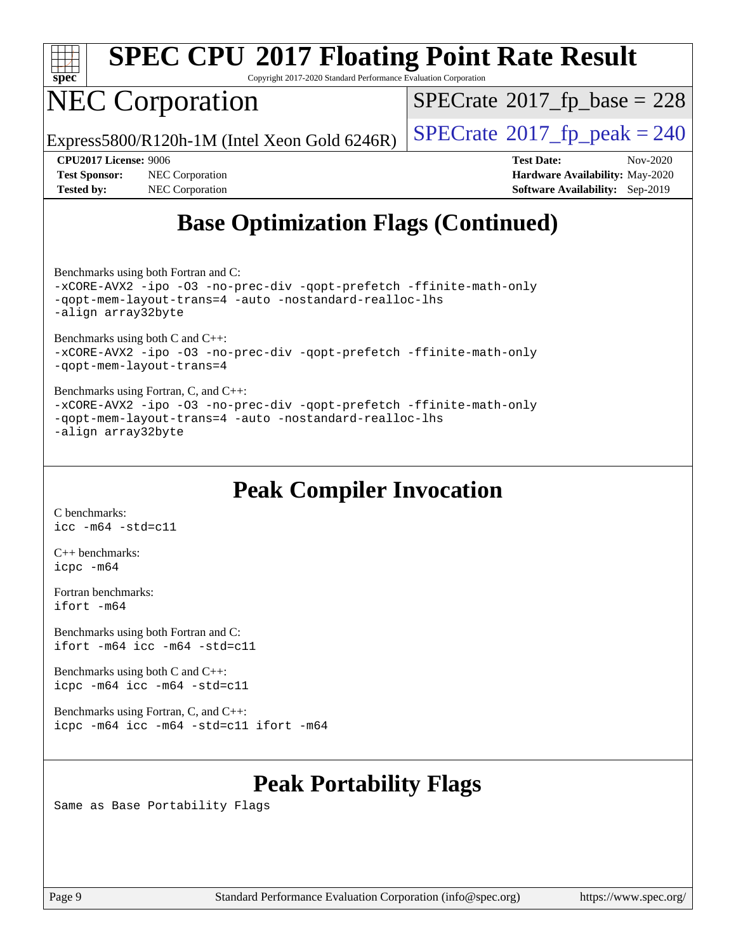

Copyright 2017-2020 Standard Performance Evaluation Corporation

# NEC Corporation

 $SPECTate$ <sup>®</sup>[2017\\_fp\\_base =](http://www.spec.org/auto/cpu2017/Docs/result-fields.html#SPECrate2017fpbase) 228

Express5800/R120h-1M (Intel Xeon Gold 6246R)  $\vert$  [SPECrate](http://www.spec.org/auto/cpu2017/Docs/result-fields.html#SPECrate2017fppeak)®[2017\\_fp\\_peak = 2](http://www.spec.org/auto/cpu2017/Docs/result-fields.html#SPECrate2017fppeak)40

**[Test Sponsor:](http://www.spec.org/auto/cpu2017/Docs/result-fields.html#TestSponsor)** NEC Corporation **[Hardware Availability:](http://www.spec.org/auto/cpu2017/Docs/result-fields.html#HardwareAvailability)** May-2020 **[Tested by:](http://www.spec.org/auto/cpu2017/Docs/result-fields.html#Testedby)** NEC Corporation **[Software Availability:](http://www.spec.org/auto/cpu2017/Docs/result-fields.html#SoftwareAvailability)** Sep-2019

**[CPU2017 License:](http://www.spec.org/auto/cpu2017/Docs/result-fields.html#CPU2017License)** 9006 **[Test Date:](http://www.spec.org/auto/cpu2017/Docs/result-fields.html#TestDate)** Nov-2020

## **[Base Optimization Flags \(Continued\)](http://www.spec.org/auto/cpu2017/Docs/result-fields.html#BaseOptimizationFlags)**

[Benchmarks using both Fortran and C](http://www.spec.org/auto/cpu2017/Docs/result-fields.html#BenchmarksusingbothFortranandC):

[-xCORE-AVX2](http://www.spec.org/cpu2017/results/res2020q4/cpu2017-20201109-24347.flags.html#user_CC_FCbase_f-xCORE-AVX2) [-ipo](http://www.spec.org/cpu2017/results/res2020q4/cpu2017-20201109-24347.flags.html#user_CC_FCbase_f-ipo) [-O3](http://www.spec.org/cpu2017/results/res2020q4/cpu2017-20201109-24347.flags.html#user_CC_FCbase_f-O3) [-no-prec-div](http://www.spec.org/cpu2017/results/res2020q4/cpu2017-20201109-24347.flags.html#user_CC_FCbase_f-no-prec-div) [-qopt-prefetch](http://www.spec.org/cpu2017/results/res2020q4/cpu2017-20201109-24347.flags.html#user_CC_FCbase_f-qopt-prefetch) [-ffinite-math-only](http://www.spec.org/cpu2017/results/res2020q4/cpu2017-20201109-24347.flags.html#user_CC_FCbase_f_finite_math_only_cb91587bd2077682c4b38af759c288ed7c732db004271a9512da14a4f8007909a5f1427ecbf1a0fb78ff2a814402c6114ac565ca162485bbcae155b5e4258871) [-qopt-mem-layout-trans=4](http://www.spec.org/cpu2017/results/res2020q4/cpu2017-20201109-24347.flags.html#user_CC_FCbase_f-qopt-mem-layout-trans_fa39e755916c150a61361b7846f310bcdf6f04e385ef281cadf3647acec3f0ae266d1a1d22d972a7087a248fd4e6ca390a3634700869573d231a252c784941a8) [-auto](http://www.spec.org/cpu2017/results/res2020q4/cpu2017-20201109-24347.flags.html#user_CC_FCbase_f-auto) [-nostandard-realloc-lhs](http://www.spec.org/cpu2017/results/res2020q4/cpu2017-20201109-24347.flags.html#user_CC_FCbase_f_2003_std_realloc_82b4557e90729c0f113870c07e44d33d6f5a304b4f63d4c15d2d0f1fab99f5daaed73bdb9275d9ae411527f28b936061aa8b9c8f2d63842963b95c9dd6426b8a) [-align array32byte](http://www.spec.org/cpu2017/results/res2020q4/cpu2017-20201109-24347.flags.html#user_CC_FCbase_align_array32byte_b982fe038af199962ba9a80c053b8342c548c85b40b8e86eb3cc33dee0d7986a4af373ac2d51c3f7cf710a18d62fdce2948f201cd044323541f22fc0fffc51b6)

[Benchmarks using both C and C++](http://www.spec.org/auto/cpu2017/Docs/result-fields.html#BenchmarksusingbothCandCXX): [-xCORE-AVX2](http://www.spec.org/cpu2017/results/res2020q4/cpu2017-20201109-24347.flags.html#user_CC_CXXbase_f-xCORE-AVX2) [-ipo](http://www.spec.org/cpu2017/results/res2020q4/cpu2017-20201109-24347.flags.html#user_CC_CXXbase_f-ipo) [-O3](http://www.spec.org/cpu2017/results/res2020q4/cpu2017-20201109-24347.flags.html#user_CC_CXXbase_f-O3) [-no-prec-div](http://www.spec.org/cpu2017/results/res2020q4/cpu2017-20201109-24347.flags.html#user_CC_CXXbase_f-no-prec-div) [-qopt-prefetch](http://www.spec.org/cpu2017/results/res2020q4/cpu2017-20201109-24347.flags.html#user_CC_CXXbase_f-qopt-prefetch) [-ffinite-math-only](http://www.spec.org/cpu2017/results/res2020q4/cpu2017-20201109-24347.flags.html#user_CC_CXXbase_f_finite_math_only_cb91587bd2077682c4b38af759c288ed7c732db004271a9512da14a4f8007909a5f1427ecbf1a0fb78ff2a814402c6114ac565ca162485bbcae155b5e4258871) [-qopt-mem-layout-trans=4](http://www.spec.org/cpu2017/results/res2020q4/cpu2017-20201109-24347.flags.html#user_CC_CXXbase_f-qopt-mem-layout-trans_fa39e755916c150a61361b7846f310bcdf6f04e385ef281cadf3647acec3f0ae266d1a1d22d972a7087a248fd4e6ca390a3634700869573d231a252c784941a8)

[Benchmarks using Fortran, C, and C++:](http://www.spec.org/auto/cpu2017/Docs/result-fields.html#BenchmarksusingFortranCandCXX) [-xCORE-AVX2](http://www.spec.org/cpu2017/results/res2020q4/cpu2017-20201109-24347.flags.html#user_CC_CXX_FCbase_f-xCORE-AVX2) [-ipo](http://www.spec.org/cpu2017/results/res2020q4/cpu2017-20201109-24347.flags.html#user_CC_CXX_FCbase_f-ipo) [-O3](http://www.spec.org/cpu2017/results/res2020q4/cpu2017-20201109-24347.flags.html#user_CC_CXX_FCbase_f-O3) [-no-prec-div](http://www.spec.org/cpu2017/results/res2020q4/cpu2017-20201109-24347.flags.html#user_CC_CXX_FCbase_f-no-prec-div) [-qopt-prefetch](http://www.spec.org/cpu2017/results/res2020q4/cpu2017-20201109-24347.flags.html#user_CC_CXX_FCbase_f-qopt-prefetch) [-ffinite-math-only](http://www.spec.org/cpu2017/results/res2020q4/cpu2017-20201109-24347.flags.html#user_CC_CXX_FCbase_f_finite_math_only_cb91587bd2077682c4b38af759c288ed7c732db004271a9512da14a4f8007909a5f1427ecbf1a0fb78ff2a814402c6114ac565ca162485bbcae155b5e4258871) [-qopt-mem-layout-trans=4](http://www.spec.org/cpu2017/results/res2020q4/cpu2017-20201109-24347.flags.html#user_CC_CXX_FCbase_f-qopt-mem-layout-trans_fa39e755916c150a61361b7846f310bcdf6f04e385ef281cadf3647acec3f0ae266d1a1d22d972a7087a248fd4e6ca390a3634700869573d231a252c784941a8) [-auto](http://www.spec.org/cpu2017/results/res2020q4/cpu2017-20201109-24347.flags.html#user_CC_CXX_FCbase_f-auto) [-nostandard-realloc-lhs](http://www.spec.org/cpu2017/results/res2020q4/cpu2017-20201109-24347.flags.html#user_CC_CXX_FCbase_f_2003_std_realloc_82b4557e90729c0f113870c07e44d33d6f5a304b4f63d4c15d2d0f1fab99f5daaed73bdb9275d9ae411527f28b936061aa8b9c8f2d63842963b95c9dd6426b8a) [-align array32byte](http://www.spec.org/cpu2017/results/res2020q4/cpu2017-20201109-24347.flags.html#user_CC_CXX_FCbase_align_array32byte_b982fe038af199962ba9a80c053b8342c548c85b40b8e86eb3cc33dee0d7986a4af373ac2d51c3f7cf710a18d62fdce2948f201cd044323541f22fc0fffc51b6)

### **[Peak Compiler Invocation](http://www.spec.org/auto/cpu2017/Docs/result-fields.html#PeakCompilerInvocation)**

[C benchmarks](http://www.spec.org/auto/cpu2017/Docs/result-fields.html#Cbenchmarks): [icc -m64 -std=c11](http://www.spec.org/cpu2017/results/res2020q4/cpu2017-20201109-24347.flags.html#user_CCpeak_intel_icc_64bit_c11_33ee0cdaae7deeeab2a9725423ba97205ce30f63b9926c2519791662299b76a0318f32ddfffdc46587804de3178b4f9328c46fa7c2b0cd779d7a61945c91cd35)

[C++ benchmarks:](http://www.spec.org/auto/cpu2017/Docs/result-fields.html#CXXbenchmarks) [icpc -m64](http://www.spec.org/cpu2017/results/res2020q4/cpu2017-20201109-24347.flags.html#user_CXXpeak_intel_icpc_64bit_4ecb2543ae3f1412ef961e0650ca070fec7b7afdcd6ed48761b84423119d1bf6bdf5cad15b44d48e7256388bc77273b966e5eb805aefd121eb22e9299b2ec9d9)

[Fortran benchmarks](http://www.spec.org/auto/cpu2017/Docs/result-fields.html#Fortranbenchmarks): [ifort -m64](http://www.spec.org/cpu2017/results/res2020q4/cpu2017-20201109-24347.flags.html#user_FCpeak_intel_ifort_64bit_24f2bb282fbaeffd6157abe4f878425411749daecae9a33200eee2bee2fe76f3b89351d69a8130dd5949958ce389cf37ff59a95e7a40d588e8d3a57e0c3fd751)

[Benchmarks using both Fortran and C](http://www.spec.org/auto/cpu2017/Docs/result-fields.html#BenchmarksusingbothFortranandC): [ifort -m64](http://www.spec.org/cpu2017/results/res2020q4/cpu2017-20201109-24347.flags.html#user_CC_FCpeak_intel_ifort_64bit_24f2bb282fbaeffd6157abe4f878425411749daecae9a33200eee2bee2fe76f3b89351d69a8130dd5949958ce389cf37ff59a95e7a40d588e8d3a57e0c3fd751) [icc -m64 -std=c11](http://www.spec.org/cpu2017/results/res2020q4/cpu2017-20201109-24347.flags.html#user_CC_FCpeak_intel_icc_64bit_c11_33ee0cdaae7deeeab2a9725423ba97205ce30f63b9926c2519791662299b76a0318f32ddfffdc46587804de3178b4f9328c46fa7c2b0cd779d7a61945c91cd35)

[Benchmarks using both C and C++](http://www.spec.org/auto/cpu2017/Docs/result-fields.html#BenchmarksusingbothCandCXX): [icpc -m64](http://www.spec.org/cpu2017/results/res2020q4/cpu2017-20201109-24347.flags.html#user_CC_CXXpeak_intel_icpc_64bit_4ecb2543ae3f1412ef961e0650ca070fec7b7afdcd6ed48761b84423119d1bf6bdf5cad15b44d48e7256388bc77273b966e5eb805aefd121eb22e9299b2ec9d9) [icc -m64 -std=c11](http://www.spec.org/cpu2017/results/res2020q4/cpu2017-20201109-24347.flags.html#user_CC_CXXpeak_intel_icc_64bit_c11_33ee0cdaae7deeeab2a9725423ba97205ce30f63b9926c2519791662299b76a0318f32ddfffdc46587804de3178b4f9328c46fa7c2b0cd779d7a61945c91cd35)

[Benchmarks using Fortran, C, and C++:](http://www.spec.org/auto/cpu2017/Docs/result-fields.html#BenchmarksusingFortranCandCXX) [icpc -m64](http://www.spec.org/cpu2017/results/res2020q4/cpu2017-20201109-24347.flags.html#user_CC_CXX_FCpeak_intel_icpc_64bit_4ecb2543ae3f1412ef961e0650ca070fec7b7afdcd6ed48761b84423119d1bf6bdf5cad15b44d48e7256388bc77273b966e5eb805aefd121eb22e9299b2ec9d9) [icc -m64 -std=c11](http://www.spec.org/cpu2017/results/res2020q4/cpu2017-20201109-24347.flags.html#user_CC_CXX_FCpeak_intel_icc_64bit_c11_33ee0cdaae7deeeab2a9725423ba97205ce30f63b9926c2519791662299b76a0318f32ddfffdc46587804de3178b4f9328c46fa7c2b0cd779d7a61945c91cd35) [ifort -m64](http://www.spec.org/cpu2017/results/res2020q4/cpu2017-20201109-24347.flags.html#user_CC_CXX_FCpeak_intel_ifort_64bit_24f2bb282fbaeffd6157abe4f878425411749daecae9a33200eee2bee2fe76f3b89351d69a8130dd5949958ce389cf37ff59a95e7a40d588e8d3a57e0c3fd751)

## **[Peak Portability Flags](http://www.spec.org/auto/cpu2017/Docs/result-fields.html#PeakPortabilityFlags)**

Same as Base Portability Flags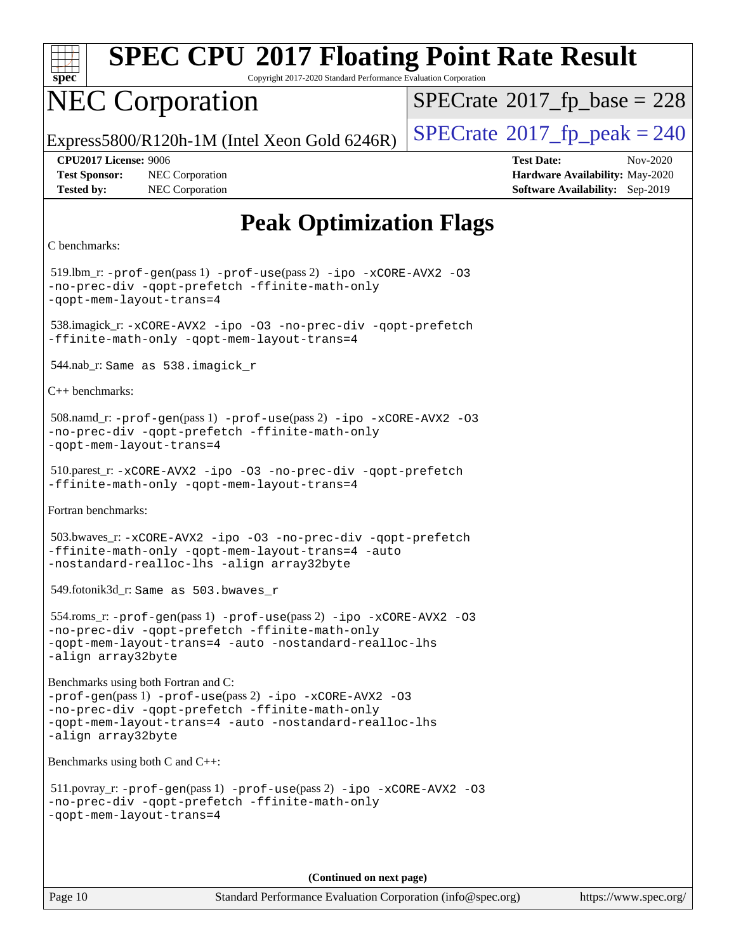

Copyright 2017-2020 Standard Performance Evaluation Corporation

## NEC Corporation

 $SPECTate$ <sup>®</sup>[2017\\_fp\\_base =](http://www.spec.org/auto/cpu2017/Docs/result-fields.html#SPECrate2017fpbase) 228

Express5800/R120h-1M (Intel Xeon Gold 6246R)  $\vert$  [SPECrate](http://www.spec.org/auto/cpu2017/Docs/result-fields.html#SPECrate2017fppeak)®[2017\\_fp\\_peak = 2](http://www.spec.org/auto/cpu2017/Docs/result-fields.html#SPECrate2017fppeak)40

**[Tested by:](http://www.spec.org/auto/cpu2017/Docs/result-fields.html#Testedby)** NEC Corporation **[Software Availability:](http://www.spec.org/auto/cpu2017/Docs/result-fields.html#SoftwareAvailability)** Sep-2019

**[CPU2017 License:](http://www.spec.org/auto/cpu2017/Docs/result-fields.html#CPU2017License)** 9006 **[Test Date:](http://www.spec.org/auto/cpu2017/Docs/result-fields.html#TestDate)** Nov-2020 **[Test Sponsor:](http://www.spec.org/auto/cpu2017/Docs/result-fields.html#TestSponsor)** NEC Corporation **[Hardware Availability:](http://www.spec.org/auto/cpu2017/Docs/result-fields.html#HardwareAvailability)** May-2020

## **[Peak Optimization Flags](http://www.spec.org/auto/cpu2017/Docs/result-fields.html#PeakOptimizationFlags)**

```
C benchmarks:
```
 519.lbm\_r: [-prof-gen](http://www.spec.org/cpu2017/results/res2020q4/cpu2017-20201109-24347.flags.html#user_peakPASS1_CFLAGSPASS1_LDFLAGS519_lbm_r_prof_gen_5aa4926d6013ddb2a31985c654b3eb18169fc0c6952a63635c234f711e6e63dd76e94ad52365559451ec499a2cdb89e4dc58ba4c67ef54ca681ffbe1461d6b36)(pass 1) [-prof-use](http://www.spec.org/cpu2017/results/res2020q4/cpu2017-20201109-24347.flags.html#user_peakPASS2_CFLAGSPASS2_LDFLAGS519_lbm_r_prof_use_1a21ceae95f36a2b53c25747139a6c16ca95bd9def2a207b4f0849963b97e94f5260e30a0c64f4bb623698870e679ca08317ef8150905d41bd88c6f78df73f19)(pass 2) [-ipo](http://www.spec.org/cpu2017/results/res2020q4/cpu2017-20201109-24347.flags.html#user_peakPASS1_COPTIMIZEPASS2_COPTIMIZE519_lbm_r_f-ipo) [-xCORE-AVX2](http://www.spec.org/cpu2017/results/res2020q4/cpu2017-20201109-24347.flags.html#user_peakPASS2_COPTIMIZE519_lbm_r_f-xCORE-AVX2) [-O3](http://www.spec.org/cpu2017/results/res2020q4/cpu2017-20201109-24347.flags.html#user_peakPASS1_COPTIMIZEPASS2_COPTIMIZE519_lbm_r_f-O3) [-no-prec-div](http://www.spec.org/cpu2017/results/res2020q4/cpu2017-20201109-24347.flags.html#user_peakPASS1_COPTIMIZEPASS2_COPTIMIZE519_lbm_r_f-no-prec-div) [-qopt-prefetch](http://www.spec.org/cpu2017/results/res2020q4/cpu2017-20201109-24347.flags.html#user_peakPASS1_COPTIMIZEPASS2_COPTIMIZE519_lbm_r_f-qopt-prefetch) [-ffinite-math-only](http://www.spec.org/cpu2017/results/res2020q4/cpu2017-20201109-24347.flags.html#user_peakPASS1_COPTIMIZEPASS2_COPTIMIZE519_lbm_r_f_finite_math_only_cb91587bd2077682c4b38af759c288ed7c732db004271a9512da14a4f8007909a5f1427ecbf1a0fb78ff2a814402c6114ac565ca162485bbcae155b5e4258871) [-qopt-mem-layout-trans=4](http://www.spec.org/cpu2017/results/res2020q4/cpu2017-20201109-24347.flags.html#user_peakPASS1_COPTIMIZEPASS2_COPTIMIZE519_lbm_r_f-qopt-mem-layout-trans_fa39e755916c150a61361b7846f310bcdf6f04e385ef281cadf3647acec3f0ae266d1a1d22d972a7087a248fd4e6ca390a3634700869573d231a252c784941a8) 538.imagick\_r: [-xCORE-AVX2](http://www.spec.org/cpu2017/results/res2020q4/cpu2017-20201109-24347.flags.html#user_peakCOPTIMIZE538_imagick_r_f-xCORE-AVX2) [-ipo](http://www.spec.org/cpu2017/results/res2020q4/cpu2017-20201109-24347.flags.html#user_peakCOPTIMIZE538_imagick_r_f-ipo) [-O3](http://www.spec.org/cpu2017/results/res2020q4/cpu2017-20201109-24347.flags.html#user_peakCOPTIMIZE538_imagick_r_f-O3) [-no-prec-div](http://www.spec.org/cpu2017/results/res2020q4/cpu2017-20201109-24347.flags.html#user_peakCOPTIMIZE538_imagick_r_f-no-prec-div) [-qopt-prefetch](http://www.spec.org/cpu2017/results/res2020q4/cpu2017-20201109-24347.flags.html#user_peakCOPTIMIZE538_imagick_r_f-qopt-prefetch) [-ffinite-math-only](http://www.spec.org/cpu2017/results/res2020q4/cpu2017-20201109-24347.flags.html#user_peakCOPTIMIZE538_imagick_r_f_finite_math_only_cb91587bd2077682c4b38af759c288ed7c732db004271a9512da14a4f8007909a5f1427ecbf1a0fb78ff2a814402c6114ac565ca162485bbcae155b5e4258871) [-qopt-mem-layout-trans=4](http://www.spec.org/cpu2017/results/res2020q4/cpu2017-20201109-24347.flags.html#user_peakCOPTIMIZE538_imagick_r_f-qopt-mem-layout-trans_fa39e755916c150a61361b7846f310bcdf6f04e385ef281cadf3647acec3f0ae266d1a1d22d972a7087a248fd4e6ca390a3634700869573d231a252c784941a8) 544.nab\_r: Same as 538.imagick\_r [C++ benchmarks:](http://www.spec.org/auto/cpu2017/Docs/result-fields.html#CXXbenchmarks) 508.namd\_r: [-prof-gen](http://www.spec.org/cpu2017/results/res2020q4/cpu2017-20201109-24347.flags.html#user_peakPASS1_CXXFLAGSPASS1_LDFLAGS508_namd_r_prof_gen_5aa4926d6013ddb2a31985c654b3eb18169fc0c6952a63635c234f711e6e63dd76e94ad52365559451ec499a2cdb89e4dc58ba4c67ef54ca681ffbe1461d6b36)(pass 1) [-prof-use](http://www.spec.org/cpu2017/results/res2020q4/cpu2017-20201109-24347.flags.html#user_peakPASS2_CXXFLAGSPASS2_LDFLAGS508_namd_r_prof_use_1a21ceae95f36a2b53c25747139a6c16ca95bd9def2a207b4f0849963b97e94f5260e30a0c64f4bb623698870e679ca08317ef8150905d41bd88c6f78df73f19)(pass 2) [-ipo](http://www.spec.org/cpu2017/results/res2020q4/cpu2017-20201109-24347.flags.html#user_peakPASS1_CXXOPTIMIZEPASS2_CXXOPTIMIZE508_namd_r_f-ipo) [-xCORE-AVX2](http://www.spec.org/cpu2017/results/res2020q4/cpu2017-20201109-24347.flags.html#user_peakPASS2_CXXOPTIMIZE508_namd_r_f-xCORE-AVX2) [-O3](http://www.spec.org/cpu2017/results/res2020q4/cpu2017-20201109-24347.flags.html#user_peakPASS1_CXXOPTIMIZEPASS2_CXXOPTIMIZE508_namd_r_f-O3) [-no-prec-div](http://www.spec.org/cpu2017/results/res2020q4/cpu2017-20201109-24347.flags.html#user_peakPASS1_CXXOPTIMIZEPASS2_CXXOPTIMIZE508_namd_r_f-no-prec-div) [-qopt-prefetch](http://www.spec.org/cpu2017/results/res2020q4/cpu2017-20201109-24347.flags.html#user_peakPASS1_CXXOPTIMIZEPASS2_CXXOPTIMIZE508_namd_r_f-qopt-prefetch) [-ffinite-math-only](http://www.spec.org/cpu2017/results/res2020q4/cpu2017-20201109-24347.flags.html#user_peakPASS1_CXXOPTIMIZEPASS2_CXXOPTIMIZE508_namd_r_f_finite_math_only_cb91587bd2077682c4b38af759c288ed7c732db004271a9512da14a4f8007909a5f1427ecbf1a0fb78ff2a814402c6114ac565ca162485bbcae155b5e4258871) [-qopt-mem-layout-trans=4](http://www.spec.org/cpu2017/results/res2020q4/cpu2017-20201109-24347.flags.html#user_peakPASS1_CXXOPTIMIZEPASS2_CXXOPTIMIZE508_namd_r_f-qopt-mem-layout-trans_fa39e755916c150a61361b7846f310bcdf6f04e385ef281cadf3647acec3f0ae266d1a1d22d972a7087a248fd4e6ca390a3634700869573d231a252c784941a8) 510.parest\_r: [-xCORE-AVX2](http://www.spec.org/cpu2017/results/res2020q4/cpu2017-20201109-24347.flags.html#user_peakCXXOPTIMIZE510_parest_r_f-xCORE-AVX2) [-ipo](http://www.spec.org/cpu2017/results/res2020q4/cpu2017-20201109-24347.flags.html#user_peakCXXOPTIMIZE510_parest_r_f-ipo) [-O3](http://www.spec.org/cpu2017/results/res2020q4/cpu2017-20201109-24347.flags.html#user_peakCXXOPTIMIZE510_parest_r_f-O3) [-no-prec-div](http://www.spec.org/cpu2017/results/res2020q4/cpu2017-20201109-24347.flags.html#user_peakCXXOPTIMIZE510_parest_r_f-no-prec-div) [-qopt-prefetch](http://www.spec.org/cpu2017/results/res2020q4/cpu2017-20201109-24347.flags.html#user_peakCXXOPTIMIZE510_parest_r_f-qopt-prefetch) [-ffinite-math-only](http://www.spec.org/cpu2017/results/res2020q4/cpu2017-20201109-24347.flags.html#user_peakCXXOPTIMIZE510_parest_r_f_finite_math_only_cb91587bd2077682c4b38af759c288ed7c732db004271a9512da14a4f8007909a5f1427ecbf1a0fb78ff2a814402c6114ac565ca162485bbcae155b5e4258871) [-qopt-mem-layout-trans=4](http://www.spec.org/cpu2017/results/res2020q4/cpu2017-20201109-24347.flags.html#user_peakCXXOPTIMIZE510_parest_r_f-qopt-mem-layout-trans_fa39e755916c150a61361b7846f310bcdf6f04e385ef281cadf3647acec3f0ae266d1a1d22d972a7087a248fd4e6ca390a3634700869573d231a252c784941a8) [Fortran benchmarks](http://www.spec.org/auto/cpu2017/Docs/result-fields.html#Fortranbenchmarks): 503.bwaves\_r: [-xCORE-AVX2](http://www.spec.org/cpu2017/results/res2020q4/cpu2017-20201109-24347.flags.html#user_peakFOPTIMIZE503_bwaves_r_f-xCORE-AVX2) [-ipo](http://www.spec.org/cpu2017/results/res2020q4/cpu2017-20201109-24347.flags.html#user_peakFOPTIMIZE503_bwaves_r_f-ipo) [-O3](http://www.spec.org/cpu2017/results/res2020q4/cpu2017-20201109-24347.flags.html#user_peakFOPTIMIZE503_bwaves_r_f-O3) [-no-prec-div](http://www.spec.org/cpu2017/results/res2020q4/cpu2017-20201109-24347.flags.html#user_peakFOPTIMIZE503_bwaves_r_f-no-prec-div) [-qopt-prefetch](http://www.spec.org/cpu2017/results/res2020q4/cpu2017-20201109-24347.flags.html#user_peakFOPTIMIZE503_bwaves_r_f-qopt-prefetch) [-ffinite-math-only](http://www.spec.org/cpu2017/results/res2020q4/cpu2017-20201109-24347.flags.html#user_peakFOPTIMIZE503_bwaves_r_f_finite_math_only_cb91587bd2077682c4b38af759c288ed7c732db004271a9512da14a4f8007909a5f1427ecbf1a0fb78ff2a814402c6114ac565ca162485bbcae155b5e4258871) [-qopt-mem-layout-trans=4](http://www.spec.org/cpu2017/results/res2020q4/cpu2017-20201109-24347.flags.html#user_peakFOPTIMIZE503_bwaves_r_f-qopt-mem-layout-trans_fa39e755916c150a61361b7846f310bcdf6f04e385ef281cadf3647acec3f0ae266d1a1d22d972a7087a248fd4e6ca390a3634700869573d231a252c784941a8) [-auto](http://www.spec.org/cpu2017/results/res2020q4/cpu2017-20201109-24347.flags.html#user_peakFOPTIMIZE503_bwaves_r_f-auto) [-nostandard-realloc-lhs](http://www.spec.org/cpu2017/results/res2020q4/cpu2017-20201109-24347.flags.html#user_peakEXTRA_FOPTIMIZE503_bwaves_r_f_2003_std_realloc_82b4557e90729c0f113870c07e44d33d6f5a304b4f63d4c15d2d0f1fab99f5daaed73bdb9275d9ae411527f28b936061aa8b9c8f2d63842963b95c9dd6426b8a) [-align array32byte](http://www.spec.org/cpu2017/results/res2020q4/cpu2017-20201109-24347.flags.html#user_peakEXTRA_FOPTIMIZE503_bwaves_r_align_array32byte_b982fe038af199962ba9a80c053b8342c548c85b40b8e86eb3cc33dee0d7986a4af373ac2d51c3f7cf710a18d62fdce2948f201cd044323541f22fc0fffc51b6) 549.fotonik3d\_r: Same as 503.bwaves\_r 554.roms\_r: [-prof-gen](http://www.spec.org/cpu2017/results/res2020q4/cpu2017-20201109-24347.flags.html#user_peakPASS1_FFLAGSPASS1_LDFLAGS554_roms_r_prof_gen_5aa4926d6013ddb2a31985c654b3eb18169fc0c6952a63635c234f711e6e63dd76e94ad52365559451ec499a2cdb89e4dc58ba4c67ef54ca681ffbe1461d6b36)(pass 1) [-prof-use](http://www.spec.org/cpu2017/results/res2020q4/cpu2017-20201109-24347.flags.html#user_peakPASS2_FFLAGSPASS2_LDFLAGS554_roms_r_prof_use_1a21ceae95f36a2b53c25747139a6c16ca95bd9def2a207b4f0849963b97e94f5260e30a0c64f4bb623698870e679ca08317ef8150905d41bd88c6f78df73f19)(pass 2) [-ipo](http://www.spec.org/cpu2017/results/res2020q4/cpu2017-20201109-24347.flags.html#user_peakPASS1_FOPTIMIZEPASS2_FOPTIMIZE554_roms_r_f-ipo) [-xCORE-AVX2](http://www.spec.org/cpu2017/results/res2020q4/cpu2017-20201109-24347.flags.html#user_peakPASS2_FOPTIMIZE554_roms_r_f-xCORE-AVX2) [-O3](http://www.spec.org/cpu2017/results/res2020q4/cpu2017-20201109-24347.flags.html#user_peakPASS1_FOPTIMIZEPASS2_FOPTIMIZE554_roms_r_f-O3) [-no-prec-div](http://www.spec.org/cpu2017/results/res2020q4/cpu2017-20201109-24347.flags.html#user_peakPASS1_FOPTIMIZEPASS2_FOPTIMIZE554_roms_r_f-no-prec-div) [-qopt-prefetch](http://www.spec.org/cpu2017/results/res2020q4/cpu2017-20201109-24347.flags.html#user_peakPASS1_FOPTIMIZEPASS2_FOPTIMIZE554_roms_r_f-qopt-prefetch) [-ffinite-math-only](http://www.spec.org/cpu2017/results/res2020q4/cpu2017-20201109-24347.flags.html#user_peakPASS1_FOPTIMIZEPASS2_FOPTIMIZE554_roms_r_f_finite_math_only_cb91587bd2077682c4b38af759c288ed7c732db004271a9512da14a4f8007909a5f1427ecbf1a0fb78ff2a814402c6114ac565ca162485bbcae155b5e4258871) [-qopt-mem-layout-trans=4](http://www.spec.org/cpu2017/results/res2020q4/cpu2017-20201109-24347.flags.html#user_peakPASS1_FOPTIMIZEPASS2_FOPTIMIZE554_roms_r_f-qopt-mem-layout-trans_fa39e755916c150a61361b7846f310bcdf6f04e385ef281cadf3647acec3f0ae266d1a1d22d972a7087a248fd4e6ca390a3634700869573d231a252c784941a8) [-auto](http://www.spec.org/cpu2017/results/res2020q4/cpu2017-20201109-24347.flags.html#user_peakPASS2_FOPTIMIZE554_roms_r_f-auto) [-nostandard-realloc-lhs](http://www.spec.org/cpu2017/results/res2020q4/cpu2017-20201109-24347.flags.html#user_peakEXTRA_FOPTIMIZE554_roms_r_f_2003_std_realloc_82b4557e90729c0f113870c07e44d33d6f5a304b4f63d4c15d2d0f1fab99f5daaed73bdb9275d9ae411527f28b936061aa8b9c8f2d63842963b95c9dd6426b8a) [-align array32byte](http://www.spec.org/cpu2017/results/res2020q4/cpu2017-20201109-24347.flags.html#user_peakEXTRA_FOPTIMIZE554_roms_r_align_array32byte_b982fe038af199962ba9a80c053b8342c548c85b40b8e86eb3cc33dee0d7986a4af373ac2d51c3f7cf710a18d62fdce2948f201cd044323541f22fc0fffc51b6) [Benchmarks using both Fortran and C](http://www.spec.org/auto/cpu2017/Docs/result-fields.html#BenchmarksusingbothFortranandC): [-prof-gen](http://www.spec.org/cpu2017/results/res2020q4/cpu2017-20201109-24347.flags.html#user_CC_FCpeak_prof_gen_5aa4926d6013ddb2a31985c654b3eb18169fc0c6952a63635c234f711e6e63dd76e94ad52365559451ec499a2cdb89e4dc58ba4c67ef54ca681ffbe1461d6b36)(pass 1) [-prof-use](http://www.spec.org/cpu2017/results/res2020q4/cpu2017-20201109-24347.flags.html#user_CC_FCpeak_prof_use_1a21ceae95f36a2b53c25747139a6c16ca95bd9def2a207b4f0849963b97e94f5260e30a0c64f4bb623698870e679ca08317ef8150905d41bd88c6f78df73f19)(pass 2) [-ipo](http://www.spec.org/cpu2017/results/res2020q4/cpu2017-20201109-24347.flags.html#user_CC_FCpeak_f-ipo) [-xCORE-AVX2](http://www.spec.org/cpu2017/results/res2020q4/cpu2017-20201109-24347.flags.html#user_CC_FCpeak_f-xCORE-AVX2) [-O3](http://www.spec.org/cpu2017/results/res2020q4/cpu2017-20201109-24347.flags.html#user_CC_FCpeak_f-O3) [-no-prec-div](http://www.spec.org/cpu2017/results/res2020q4/cpu2017-20201109-24347.flags.html#user_CC_FCpeak_f-no-prec-div) [-qopt-prefetch](http://www.spec.org/cpu2017/results/res2020q4/cpu2017-20201109-24347.flags.html#user_CC_FCpeak_f-qopt-prefetch) [-ffinite-math-only](http://www.spec.org/cpu2017/results/res2020q4/cpu2017-20201109-24347.flags.html#user_CC_FCpeak_f_finite_math_only_cb91587bd2077682c4b38af759c288ed7c732db004271a9512da14a4f8007909a5f1427ecbf1a0fb78ff2a814402c6114ac565ca162485bbcae155b5e4258871) [-qopt-mem-layout-trans=4](http://www.spec.org/cpu2017/results/res2020q4/cpu2017-20201109-24347.flags.html#user_CC_FCpeak_f-qopt-mem-layout-trans_fa39e755916c150a61361b7846f310bcdf6f04e385ef281cadf3647acec3f0ae266d1a1d22d972a7087a248fd4e6ca390a3634700869573d231a252c784941a8) [-auto](http://www.spec.org/cpu2017/results/res2020q4/cpu2017-20201109-24347.flags.html#user_CC_FCpeak_f-auto) [-nostandard-realloc-lhs](http://www.spec.org/cpu2017/results/res2020q4/cpu2017-20201109-24347.flags.html#user_CC_FCpeak_f_2003_std_realloc_82b4557e90729c0f113870c07e44d33d6f5a304b4f63d4c15d2d0f1fab99f5daaed73bdb9275d9ae411527f28b936061aa8b9c8f2d63842963b95c9dd6426b8a) [-align array32byte](http://www.spec.org/cpu2017/results/res2020q4/cpu2017-20201109-24347.flags.html#user_CC_FCpeak_align_array32byte_b982fe038af199962ba9a80c053b8342c548c85b40b8e86eb3cc33dee0d7986a4af373ac2d51c3f7cf710a18d62fdce2948f201cd044323541f22fc0fffc51b6) [Benchmarks using both C and C++:](http://www.spec.org/auto/cpu2017/Docs/result-fields.html#BenchmarksusingbothCandCXX) 511.povray\_r: [-prof-gen](http://www.spec.org/cpu2017/results/res2020q4/cpu2017-20201109-24347.flags.html#user_peakPASS1_CFLAGSPASS1_CXXFLAGSPASS1_LDFLAGS511_povray_r_prof_gen_5aa4926d6013ddb2a31985c654b3eb18169fc0c6952a63635c234f711e6e63dd76e94ad52365559451ec499a2cdb89e4dc58ba4c67ef54ca681ffbe1461d6b36)(pass 1) [-prof-use](http://www.spec.org/cpu2017/results/res2020q4/cpu2017-20201109-24347.flags.html#user_peakPASS2_CFLAGSPASS2_CXXFLAGSPASS2_LDFLAGS511_povray_r_prof_use_1a21ceae95f36a2b53c25747139a6c16ca95bd9def2a207b4f0849963b97e94f5260e30a0c64f4bb623698870e679ca08317ef8150905d41bd88c6f78df73f19)(pass 2) [-ipo](http://www.spec.org/cpu2017/results/res2020q4/cpu2017-20201109-24347.flags.html#user_peakPASS1_COPTIMIZEPASS1_CXXOPTIMIZEPASS2_COPTIMIZEPASS2_CXXOPTIMIZE511_povray_r_f-ipo) [-xCORE-AVX2](http://www.spec.org/cpu2017/results/res2020q4/cpu2017-20201109-24347.flags.html#user_peakPASS2_COPTIMIZEPASS2_CXXOPTIMIZE511_povray_r_f-xCORE-AVX2) [-O3](http://www.spec.org/cpu2017/results/res2020q4/cpu2017-20201109-24347.flags.html#user_peakPASS1_COPTIMIZEPASS1_CXXOPTIMIZEPASS2_COPTIMIZEPASS2_CXXOPTIMIZE511_povray_r_f-O3) [-no-prec-div](http://www.spec.org/cpu2017/results/res2020q4/cpu2017-20201109-24347.flags.html#user_peakPASS1_COPTIMIZEPASS1_CXXOPTIMIZEPASS2_COPTIMIZEPASS2_CXXOPTIMIZE511_povray_r_f-no-prec-div) [-qopt-prefetch](http://www.spec.org/cpu2017/results/res2020q4/cpu2017-20201109-24347.flags.html#user_peakPASS1_COPTIMIZEPASS1_CXXOPTIMIZEPASS2_COPTIMIZEPASS2_CXXOPTIMIZE511_povray_r_f-qopt-prefetch) [-ffinite-math-only](http://www.spec.org/cpu2017/results/res2020q4/cpu2017-20201109-24347.flags.html#user_peakPASS1_COPTIMIZEPASS1_CXXOPTIMIZEPASS2_COPTIMIZEPASS2_CXXOPTIMIZE511_povray_r_f_finite_math_only_cb91587bd2077682c4b38af759c288ed7c732db004271a9512da14a4f8007909a5f1427ecbf1a0fb78ff2a814402c6114ac565ca162485bbcae155b5e4258871) [-qopt-mem-layout-trans=4](http://www.spec.org/cpu2017/results/res2020q4/cpu2017-20201109-24347.flags.html#user_peakPASS1_COPTIMIZEPASS1_CXXOPTIMIZEPASS2_COPTIMIZEPASS2_CXXOPTIMIZE511_povray_r_f-qopt-mem-layout-trans_fa39e755916c150a61361b7846f310bcdf6f04e385ef281cadf3647acec3f0ae266d1a1d22d972a7087a248fd4e6ca390a3634700869573d231a252c784941a8)

**(Continued on next page)**